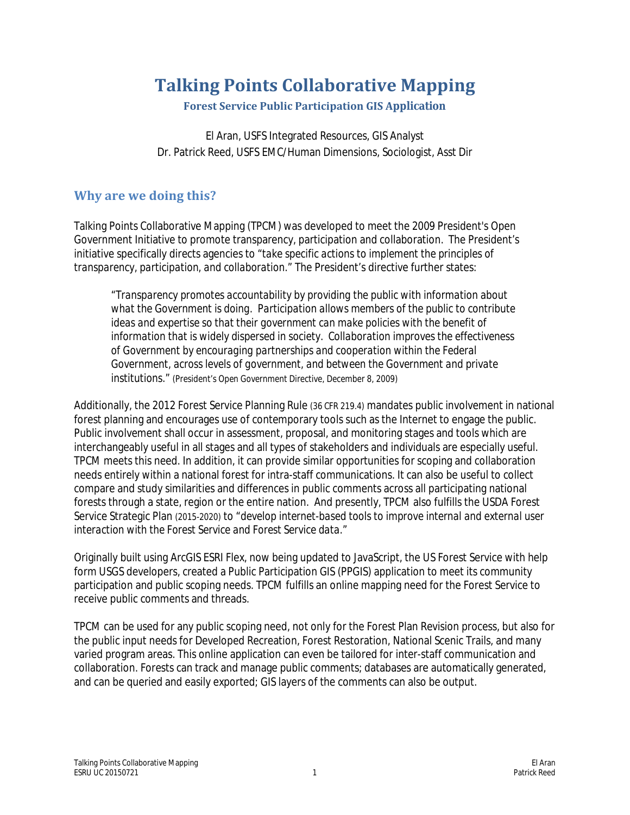# **Talking Points Collaborative Mapping**

**Forest Service Public Participation GIS Application**

El Aran, USFS Integrated Resources, GIS Analyst Dr. Patrick Reed, USFS EMC/Human Dimensions, Sociologist, Asst Dir

# **Why are we doing this?**

Talking Points Collaborative Mapping (TPCM) was developed to meet the 2009 President's Open Government Initiative to promote transparency, participation and collaboration. The President's initiative specifically directs agencies to *"take specific actions to implement the principles of transparency, participation, and collaboration."* The President's directive further states:

*"Transparency promotes accountability by providing the public with information about what the Government is doing. Participation allows members of the public to contribute ideas and expertise so that their government can make policies with the benefit of information that is widely dispersed in society. Collaboration improves the effectiveness of Government by encouraging partnerships and cooperation within the Federal Government, across levels of government, and between the Government and private institutions." (President's Open Government Directive, December 8, 2009)*

Additionally, the 2012 Forest Service Planning Rule *(36 CFR 219.4)* mandates public involvement in national forest planning and encourages use of contemporary tools such as the Internet to engage the public. Public involvement shall occur in assessment, proposal, and monitoring stages and tools which are interchangeably useful in all stages and all types of stakeholders and individuals are especially useful. TPCM meets this need. In addition, it can provide similar opportunities for scoping and collaboration needs entirely within a national forest for intra-staff communications. It can also be useful to collect compare and study similarities and differences in public comments across all participating national forests through a state, region or the entire nation. And presently, TPCM also fulfills the USDA Forest Service Strategic Plan *(2015-2020)* to "*develop internet-based tools to improve internal and external user interaction with the Forest Service and Forest Service data."*

Originally built using ArcGIS ESRI Flex, now being updated to JavaScript, the US Forest Service with help form USGS developers, created a Public Participation GIS (PPGIS) application to meet its community participation and public scoping needs. TPCM fulfills an online mapping need for the Forest Service to receive public comments and threads.

TPCM can be used for any public scoping need, not only for the Forest Plan Revision process, but also for the public input needs for Developed Recreation, Forest Restoration, National Scenic Trails, and many varied program areas. This online application can even be tailored for inter-staff communication and collaboration. Forests can track and manage public comments; databases are automatically generated, and can be queried and easily exported; GIS layers of the comments can also be output.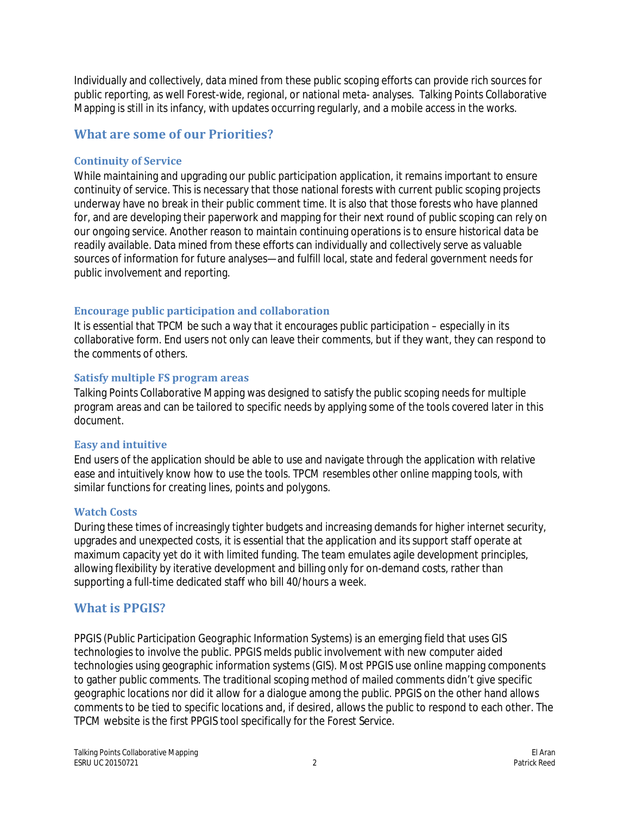Individually and collectively, data mined from these public scoping efforts can provide rich sources for public reporting, as well Forest-wide, regional, or national meta- analyses. Talking Points Collaborative Mapping is still in its infancy, with updates occurring regularly, and a mobile access in the works.

# **What are some of our Priorities?**

### **Continuity of Service**

While maintaining and upgrading our public participation application, it remains important to ensure continuity of service. This is necessary that those national forests with current public scoping projects underway have no break in their public comment time. It is also that those forests who have planned for, and are developing their paperwork and mapping for their next round of public scoping can rely on our ongoing service. Another reason to maintain continuing operations is to ensure historical data be readily available. Data mined from these efforts can individually and collectively serve as valuable sources of information for future analyses—and fulfill local, state and federal government needs for public involvement and reporting.

# **Encourage public participation and collaboration**

It is essential that TPCM be such a way that it encourages public participation – especially in its collaborative form. End users not only can leave their comments, but if they want, they can respond to the comments of others.

### **Satisfy multiple FS program areas**

Talking Points Collaborative Mapping was designed to satisfy the public scoping needs for multiple program areas and can be tailored to specific needs by applying some of the tools covered later in this document.

### **Easy and intuitive**

End users of the application should be able to use and navigate through the application with relative ease and intuitively know how to use the tools. TPCM resembles other online mapping tools, with similar functions for creating lines, points and polygons.

### **Watch Costs**

During these times of increasingly tighter budgets and increasing demands for higher internet security, upgrades and unexpected costs, it is essential that the application and its support staff operate at maximum capacity yet do it with limited funding. The team emulates agile development principles, allowing flexibility by iterative development and billing only for on-demand costs, rather than supporting a full-time dedicated staff who bill 40/hours a week.

# **What is PPGIS?**

PPGIS (Public Participation Geographic Information Systems) is an emerging field that uses GIS technologies to involve the public. PPGIS melds public involvement with new computer aided technologies using geographic information systems (GIS). Most PPGIS use online mapping components to gather public comments. The traditional scoping method of mailed comments didn't give specific geographic locations nor did it allow for a dialogue among the public. PPGIS on the other hand allows comments to be tied to specific locations and, if desired, allows the public to respond to each other. The TPCM website is the first PPGIS tool specifically for the Forest Service.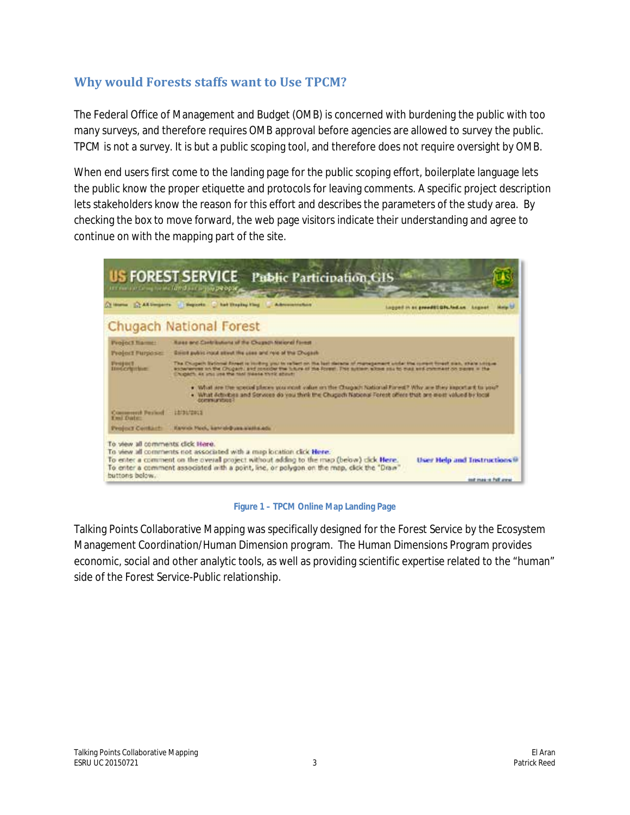# **Why would Forests staffs want to Use TPCM?**

The Federal Office of Management and Budget (OMB) is concerned with burdening the public with too many surveys, and therefore requires OMB approval before agencies are allowed to survey the public. TPCM is not a survey. It is but a public scoping tool, and therefore does not require oversight by OMB.

When end users first come to the landing page for the public scoping effort, boilerplate language lets the public know the proper etiquette and protocols for leaving comments. A specific project description lets stakeholders know the reason for this effort and describes the parameters of the study area. By checking the box to move forward, the web page visitors indicate their understanding and agree to continue on with the mapping part of the site.



**Figure 1 – TPCM Online Map Landing Page**

Talking Points Collaborative Mapping was specifically designed for the Forest Service by the Ecosystem Management Coordination/Human Dimension program. The Human Dimensions Program provides economic, social and other analytic tools, as well as providing scientific expertise related to the "human" side of the Forest Service-Public relationship.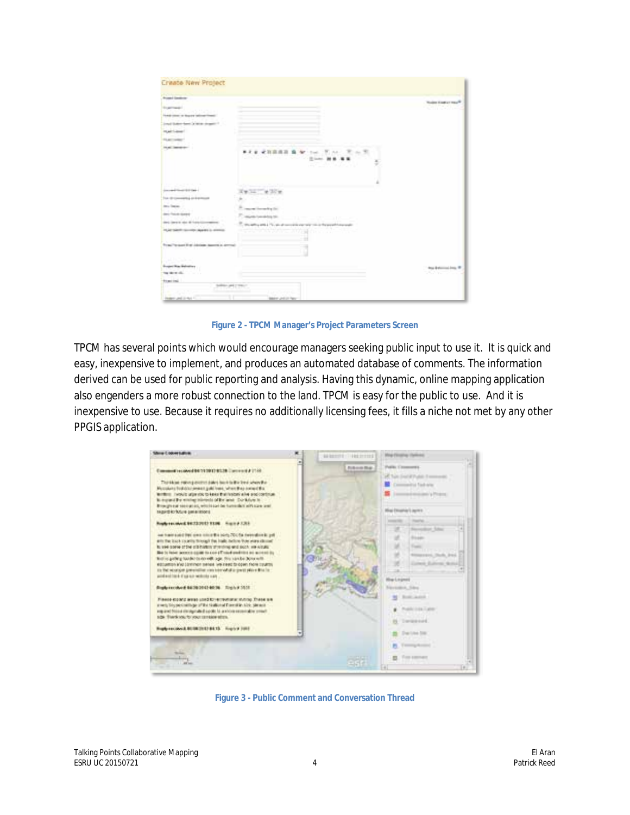| Argent Embre                                                                                                                                           |                                                                                                                  | <b>Wooden House at max R</b> |
|--------------------------------------------------------------------------------------------------------------------------------------------------------|------------------------------------------------------------------------------------------------------------------|------------------------------|
| <b>Brasiliana</b><br>Finds place or feature televational."<br>limat tuten fant brittin degate i<br>maintaine/<br>To an installation<br><b>Hutchmen</b> | ★ 百高県百 島<br>$\cdots$<br>a awa<br><b>THE REAL</b><br>and the state of the state of the                            | -- -                         |
| (convention for the second field) of the factor                                                                                                        |                                                                                                                  |                              |
| Top 18 connecting on instringent                                                                                                                       |                                                                                                                  |                              |
| the factor.                                                                                                                                            |                                                                                                                  |                              |
| dent fiscult spage)                                                                                                                                    | report incoming the<br>P. again bearing on                                                                       |                              |
| deal laws is risk of franchisements                                                                                                                    | The Commission of the Commission<br>the affice and a 15 year of conceiving expression in the present interesting |                              |
| TOAT SANT GLORY ALARES & ARRISE                                                                                                                        | the control professional and the project<br>n a s                                                                |                              |
| Tractificant first colored describe aircraft                                                                                                           |                                                                                                                  |                              |
| استخبرت والبليغ                                                                                                                                        |                                                                                                                  |                              |
| <b>Super War Pelrotter</b>                                                                                                                             |                                                                                                                  | <b>Road Anderson Links W</b> |
| the state of a                                                                                                                                         |                                                                                                                  | veznic                       |
| <b>Road Inc.</b>                                                                                                                                       |                                                                                                                  |                              |

**Figure 2 - TPCM Manager's Project Parameters Screen**

TPCM has several points which would encourage managers seeking public input to use it. It is quick and easy, inexpensive to implement, and produces an automated database of comments. The information derived can be used for public reporting and analysis. Having this dynamic, online mapping application also engenders a more robust connection to the land. TPCM is easy for the public to use. And it is inexpensive to use. Because it requires no additionally licensing fees, it fills a niche not met by any other PPGIS application.



**Figure 3 - Public Comment and Conversation Thread**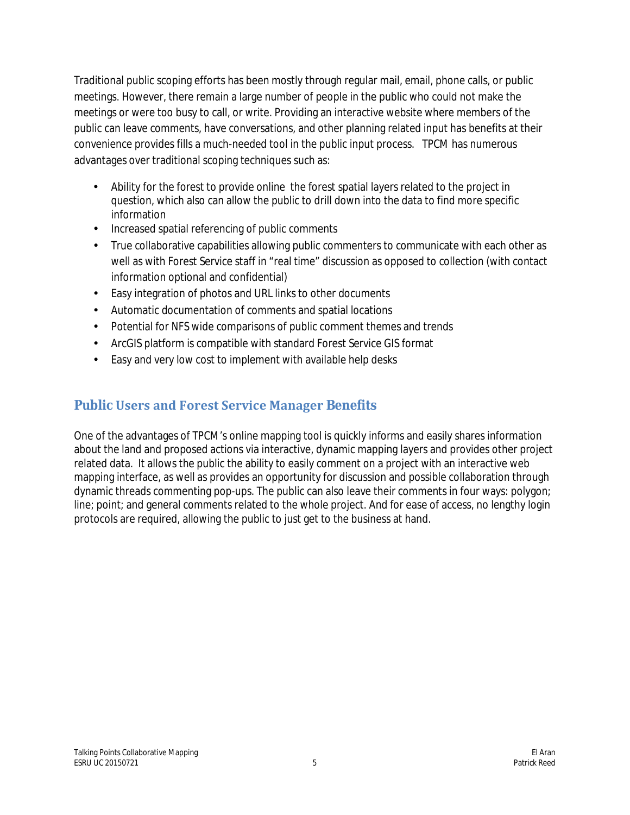Traditional public scoping efforts has been mostly through regular mail, email, phone calls, or public meetings. However, there remain a large number of people in the public who could not make the meetings or were too busy to call, or write. Providing an interactive website where members of the public can leave comments, have conversations, and other planning related input has benefits at their convenience provides fills a much-needed tool in the public input process. TPCM has numerous advantages over traditional scoping techniques such as:

- Ability for the forest to provide online the forest spatial layers related to the project in  $\mathbf{r}$ question, which also can allow the public to drill down into the data to find more specific information
- Increased spatial referencing of public comments
- True collaborative capabilities allowing public commenters to communicate with each other as ä, well as with Forest Service staff in "real time" discussion as opposed to collection (with contact information optional and confidential)
- Easy integration of photos and URL links to other documents ä,
- цÚ. Automatic documentation of comments and spatial locations
- Potential for NFS wide comparisons of public comment themes and trends  $\mathbf{r}$
- ArcGIS platform is compatible with standard Forest Service GIS format  $\mathbf{r}$
- Easy and very low cost to implement with available help desks ä,

# **Public Users and Forest Service Manager Benefits**

One of the advantages of TPCM's online mapping tool is quickly informs and easily shares information about the land and proposed actions via interactive, dynamic mapping layers and provides other project related data. It allows the public the ability to easily comment on a project with an interactive web mapping interface, as well as provides an opportunity for discussion and possible collaboration through dynamic threads commenting pop-ups. The public can also leave their comments in four ways: polygon; line; point; and general comments related to the whole project. And for ease of access, no lengthy login protocols are required, allowing the public to just get to the business at hand.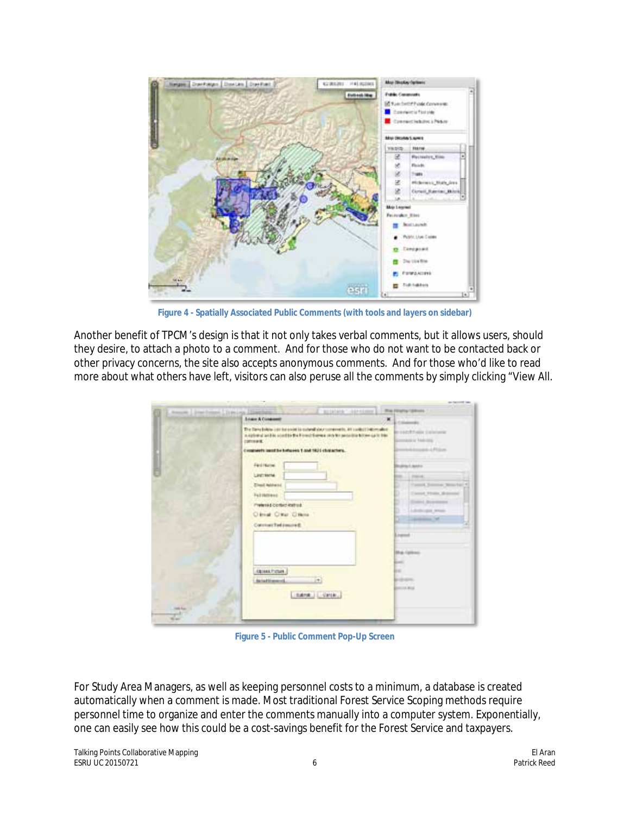

**Figure 4 - Spatially Associated Public Comments (with tools and layers on sidebar)**

Another benefit of TPCM's design is that it not only takes verbal comments, but it allows users, should they desire, to attach a photo to a comment. And for those who do not want to be contacted back or other privacy concerns, the site also accepts anonymous comments. And for those who'd like to read more about what others have left, visitors can also peruse all the comments by simply clicking "View All.

|               | <b>Island &amp; Condomitt</b>                                                                                                                                                                           | <b>Killedge</b>                                       |
|---------------|---------------------------------------------------------------------------------------------------------------------------------------------------------------------------------------------------------|-------------------------------------------------------|
|               | The Dans behavior can be under to colorally dour components, 44 content into market<br>in a prime of condition a condition the threat theorem in the fact person time but now as in this<br>(primarit.) | <b>British Product Exhibitions</b><br>sales Teams     |
|               | Constructs could be between 1 and 1831 characters.                                                                                                                                                      | state of \$1.00 per                                   |
|               | Fed Harrel                                                                                                                                                                                              | <b><i><u>RUBBLE WARN</u></i></b>                      |
|               | Linchester                                                                                                                                                                                              | L. missing                                            |
|               | <b>Zinsi Mitetii</b><br>Full Detroit                                                                                                                                                                    | Cassell Summer Str.<br>٠<br>Timond Motors Side        |
|               | Preferred Contact instruct.                                                                                                                                                                             | and Announces                                         |
|               | <b>Olival OWA OWN</b>                                                                                                                                                                                   | ۰<br>Lifetings May<br><b>Commercial Street</b><br>. . |
|               | Construct Tod (married)                                                                                                                                                                                 |                                                       |
|               |                                                                                                                                                                                                         | <b>Liverand</b><br><b>COLLEGE</b>                     |
|               |                                                                                                                                                                                                         | <b>Blue Galleries</b>                                 |
|               |                                                                                                                                                                                                         | <b>Later</b>                                          |
|               | Abient Future<br>I+1<br><b>AutoFlienmod</b>                                                                                                                                                             | m<br><b>Britannica</b>                                |
|               | tank cross.                                                                                                                                                                                             | <b>Amount Mind</b>                                    |
| <b>HARLEY</b> |                                                                                                                                                                                                         |                                                       |

**Figure 5 - Public Comment Pop-Up Screen**

For Study Area Managers, as well as keeping personnel costs to a minimum, a database is created automatically when a comment is made. Most traditional Forest Service Scoping methods require personnel time to organize and enter the comments manually into a computer system. Exponentially, one can easily see how this could be a cost-savings benefit for the Forest Service and taxpayers.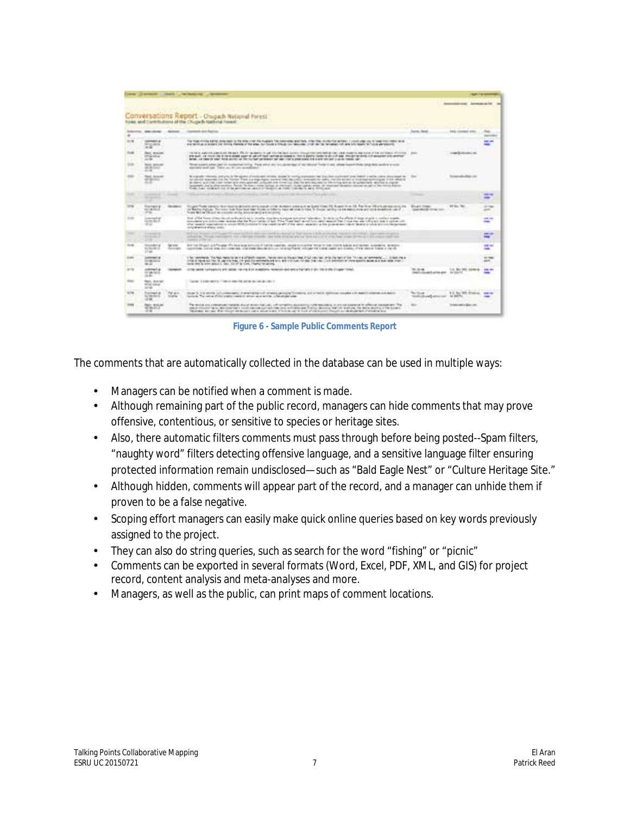|          |                                                          |                                       |                                                                                                                                                                                                                                                                                                                                                                                                                                                                                                                                                                                                                                                                                                                                                                     |                                                      |                                      | ---                            |
|----------|----------------------------------------------------------|---------------------------------------|---------------------------------------------------------------------------------------------------------------------------------------------------------------------------------------------------------------------------------------------------------------------------------------------------------------------------------------------------------------------------------------------------------------------------------------------------------------------------------------------------------------------------------------------------------------------------------------------------------------------------------------------------------------------------------------------------------------------------------------------------------------------|------------------------------------------------------|--------------------------------------|--------------------------------|
|          |                                                          |                                       | Conversations Report - Owgen National Forest<br>TANK AND TAPP PLEASE AT The Channels National Hamilton (2007) (2007)                                                                                                                                                                                                                                                                                                                                                                                                                                                                                                                                                                                                                                                |                                                      | <b>INTERNATIONAL APPROXIMATE FOR</b> |                                |
|          |                                                          |                                       | Adverse Jakobski - Arken - Glench an Asico                                                                                                                                                                                                                                                                                                                                                                                                                                                                                                                                                                                                                                                                                                                          | <b>Surroy, Amud</b>                                  | <b>NAAL CONTRAST LIMITS</b>          |                                |
| 31.06    | <b>HARMARTA</b><br><b>PERMIT</b><br>in an                |                                       | The Topp article define data basis to the other visit the humanity for deterministic attention, after the motion the entitles: I vision call other visit of the Topp but there are a<br>expressions a watery for litting classics of the way, but house a bloody by detection of the fact to meet and see you have to hold abroadcole.                                                                                                                                                                                                                                                                                                                                                                                                                              |                                                      |                                      |                                |
|          | <b>Red: Missioni</b><br><b>PERMIT</b><br><b>ALCOHOL:</b> |                                       | includes, applications and the part. The thristophone is use which dispute the constructions meeting into the structure and assess the art theories of the constant<br>and such a provided to the primary stage in our collection of a stage of their policy residence about the stage as any contract and service<br>WHEN IT RESERVES THEY WANT DELIVER ON THE COUNTABLE PRESERVES OF SIMULTIPLE ARRESTED FOR CLAYFORD AND CLAUSE CORDS THE                                                                                                                                                                                                                                                                                                                        | <b>SHOW:</b>                                         | conclusions and                      |                                |
|          | <b>Book Streets</b><br><b>ALCOHOL:</b><br>-              |                                       | Moter Association per its numerical himself from extra any original layout that have fund if any shall be associated their design and some<br>standard well ago. There can be concerned and                                                                                                                                                                                                                                                                                                                                                                                                                                                                                                                                                                         |                                                      |                                      |                                |
|          | <b>Real Alaneted</b><br>AT WALL .                        |                                       | No regressive research, and principle to this especial of couple advertise to state for resolve a possible time. See a principal conditioners in detail in open to such appell to a<br>an about success in the United Trans are supplying to the month in the control of the control of the bank of change durining at 3 km offered<br>the former guide control and control the company and control and in realized data the percentage entity of the term of the details of a power-law approximate and reported<br>lockshift parts distributed in Fend. Writers make going its removals buter spink when all shares descepts decomposite about the minical degree.<br>FORD FOR 1000 AUX 2015 IN BE WATCHEVE WATCH AT ONE PARTY CAN THE COLUMN TO ARREST FIELD WAS |                                                      | is announced and that is not         |                                |
|          | ___<br>the project of                                    | <b>STATISTICS</b>                     | The parties are of water a Windows at all the month of the company for "Boundaries That adds not the                                                                                                                                                                                                                                                                                                                                                                                                                                                                                                                                                                                                                                                                |                                                      |                                      | -<br>-                         |
|          | <b>Tournant</b> at<br>the two better<br><b>CALL</b>      | <b>TRUSHER</b>                        | Stopper Plane control that the maintenance and a control of motion and an Suns From PE, Russian III, Rank of an INS and provided a county that  We are recogni-<br>pridering managers. The send that from hand togethis or tidents have not stop to many trivial. In this case of paid on the product state of a state of the constitution of the constitution of the constitution of the constit<br>from the low 199 and he similarity arrive investments are recovering                                                                                                                                                                                                                                                                                           |                                                      | Without Theo.                        | <b>IS THE</b><br>$\frac{1}{2}$ |
|          | interested at<br>to be life. If<br>$-1.1$                |                                       | that of the Tower (this choice as decay) for a mining original acceptant program to a controller (and in a flat of the antique of activity product to addition<br>Administration in the capacity for the first of the The The Traditional acceleration and the Chief Inc. of officers are a privated in<br>The Associate populational to receive \$510 construct for the constitution will of the result of a population of the power-term of the state of the following to the Associated Constitution of the Associated<br>college and well and and service.                                                                                                                                                                                                      |                                                      |                                      | <b>CALL ON</b><br>-            |
|          | <b>Commercial</b><br>----<br>25.26                       |                                       | Built Lat. He cannot<br>Collected for the collection and control to a boost of the Collected and Collected Collected Concerns and<br>and acre. Now the most of your approach, and lots \$1500 years. Bell like your first year or first off place and yet<br>continue of the lot in the lot of the                                                                                                                                                                                                                                                                                                                                                                                                                                                                  |                                                      |                                      | --                             |
| $-$      | <b>Successful g.</b><br>the first date of<br>17.44       | <b>SETTE</b><br><b>Standard Co</b>    | BATT THE TRUSCH LETT TO DEE THE SEAL BATCHES OF THE RE CUBER BUSINESS CORPORATION TO THE TOUR BEEN BUSINESS ACCORDED. AN ORDER TO<br>controlled being the following company that the control and control of the first of the service of the service of the control to the control of the control of the con-                                                                                                                                                                                                                                                                                                                                                                                                                                                        |                                                      |                                      | $-100 - 100$<br>14.44          |
|          | Johnson M.<br>by as an a<br>36.33                        |                                       | 1-You constructs. This has interest to be the 4 of funds research. Position results that all these Price funds and a fact of the This state of contentions. It is built results<br>(PAR IN TROUB AND THE READER TO PERSON FOR MINIMUM AND AT ALCOHOL MATERIAL PARTIES). AND A SHAPE FOR A SERVE BOARD ALLE SURE TOWERS.<br>lanes leny to look laboul 1, Year, Allroft by Clint, Playma for unions.                                                                                                                                                                                                                                                                                                                                                                  |                                                      |                                      | <b>Stationary</b><br>sen.      |
| $4 - 10$ | <b><i>CONTRACT</i></b><br>on particular<br>$-10.46$      |                                       | 21700 cared Lunhapports and cattan 144-145 d. An exaptors, recreation-desired a Traitique 2-dril 198-2-996 (Frager Torici)                                                                                                                                                                                                                                                                                                                                                                                                                                                                                                                                                                                                                                          | <b>CONTRACTOR AND INVESTIGATION</b>                  | 14.84 IRL Lowin<br>da parts          |                                |
|          | <b>Red. le mail</b><br>WHEN STAR<br>and an               |                                       | Take be in a many spatial of these to depend the contract to changing the to-                                                                                                                                                                                                                                                                                                                                                                                                                                                                                                                                                                                                                                                                                       |                                                      |                                      |                                |
|          | Transport at<br>Link bold.<br>-                          | <b>The arm</b><br><b><i>COMPA</i></b> | look does all deadlings in their two deadlines are all the sales and<br>Dual 3, 13 Minh (c) company) (Law) (Sig of a way) printed brakes are with defined county of Additionance ad anti-<br>being The sales of the position was in their any winds, a bandware shall                                                                                                                                                                                                                                                                                                                                                                                                                                                                                               | <b>The Shown</b> In<br>tendity directed and necessar | 9 d. By 192 Ellison.<br>ALCOHOL:     |                                |
|          | <b>Note: Matured</b><br><b>MIRSULE</b><br>$-0.001$       |                                       | The section and content constitute and content for content of completion discovered commencions in the supported by silicolar constitutions. This<br>palla straded for a continue suita condition in autophotogenesis referencias fundale deserta teamine and use a decision analysis of the record.<br>TRANSIC BELGA PALTRAIN IN BASIC AREA STATES IN THIS RESIDENCE IN A START CONTRACT. A CARDIOGRAPHY CONTRACTOR                                                                                                                                                                                                                                                                                                                                                |                                                      | to additional to discuss one         |                                |

**Figure 6 - Sample Public Comments Report**

The comments that are automatically collected in the database can be used in multiple ways:

- Managers can be notified when a comment is made.
- $\mathbf{r}$ Although remaining part of the public record, managers can hide comments that may prove offensive, contentious, or sensitive to species or heritage sites.
- Also, there automatic filters comments must pass through before being posted--Spam filters,  $\mathcal{L}^{\text{max}}$ "naughty word" filters detecting offensive language, and a sensitive language filter ensuring protected information remain undisclosed—such as "Bald Eagle Nest" or "Culture Heritage Site."
- Although hidden, comments will appear part of the record, and a manager can unhide them if J. proven to be a false negative.
- Scoping effort managers can easily make quick online queries based on key words previously a. assigned to the project.
- They can also do string queries, such as search for the word "fishing" or "picnic"  $\mathbf{r}^{\prime}$
- Comments can be exported in several formats (Word, Excel, PDF, XML, and GIS) for project record, content analysis and meta-analyses and more.
- Managers, as well as the public, can print maps of comment locations.  $\epsilon$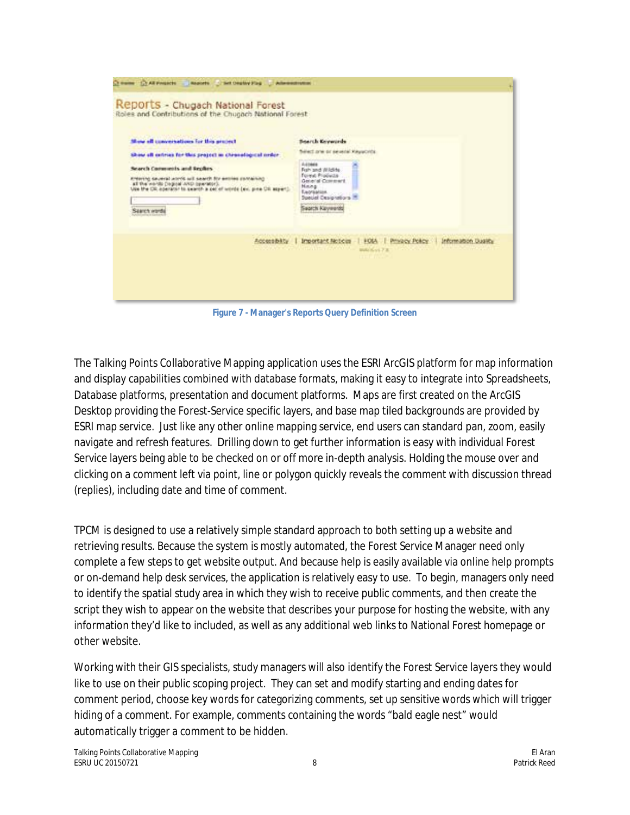| Mose of conversations for this project                                                                                                                                                                                | <b>Bearch Keywords</b>                                                                                                                                     |
|-----------------------------------------------------------------------------------------------------------------------------------------------------------------------------------------------------------------------|------------------------------------------------------------------------------------------------------------------------------------------------------------|
| Show all extrias for this project in chronological order                                                                                                                                                              | fieled are or several Keyson's                                                                                                                             |
| Search Comments and Replies<br>printing several unit forest for annual several primers.<br>all the worlds Degree AND Speciators.<br>Use the CK apenator to search a pai of words (ex. pina CK aspert).<br>Saarch word | Administ<br>Fish and Wildlife<br><b>Torest Products</b><br>General Comment<br>Mining<br>Easykalise.<br>Special Designations III.<br><b>Search Keyworth</b> |
|                                                                                                                                                                                                                       | Privacy Policy   Information Duality<br>Accessibility   Important Notices<br>FOLA                                                                          |

**Figure 7 - Manager's Reports Query Definition Screen**

The Talking Points Collaborative Mapping application uses the ESRI ArcGIS platform for map information and display capabilities combined with database formats, making it easy to integrate into Spreadsheets, Database platforms, presentation and document platforms. Maps are first created on the ArcGIS Desktop providing the Forest-Service specific layers, and base map tiled backgrounds are provided by ESRI map service. Just like any other online mapping service, end users can standard pan, zoom, easily navigate and refresh features. Drilling down to get further information is easy with individual Forest Service layers being able to be checked on or off more in-depth analysis. Holding the mouse over and clicking on a comment left via point, line or polygon quickly reveals the comment with discussion thread (replies), including date and time of comment.

TPCM is designed to use a relatively simple standard approach to both setting up a website and retrieving results. Because the system is mostly automated, the Forest Service Manager need only complete a few steps to get website output. And because help is easily available via online help prompts or on-demand help desk services, the application is relatively easy to use. To begin, managers only need to identify the spatial study area in which they wish to receive public comments, and then create the script they wish to appear on the website that describes your purpose for hosting the website, with any information they'd like to included, as well as any additional web links to National Forest homepage or other website.

Working with their GIS specialists, study managers will also identify the Forest Service layers they would like to use on their public scoping project. They can set and modify starting and ending dates for comment period, choose key words for categorizing comments, set up *sensitive words* which will trigger hiding of a comment. For example, comments containing the words "bald eagle nest" would automatically trigger a comment to be hidden.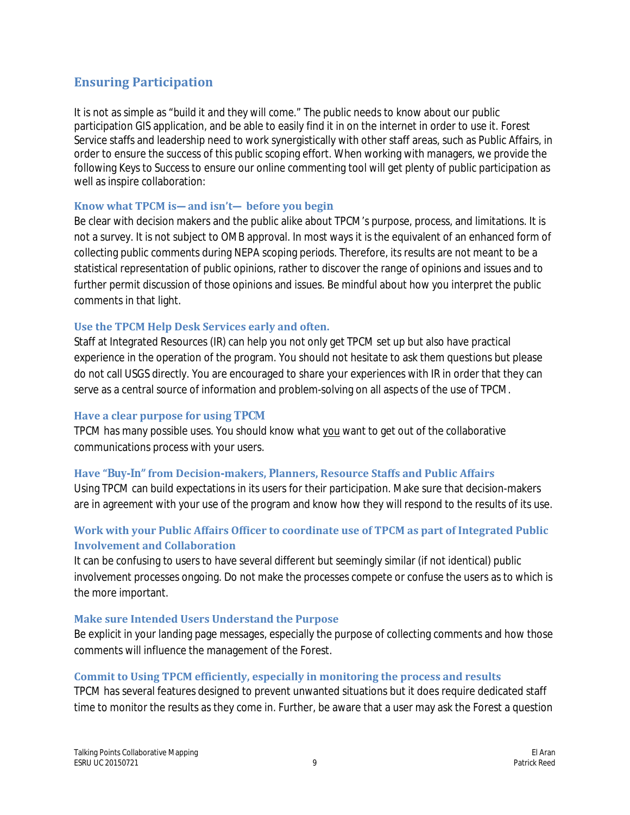# **Ensuring Participation**

It is not as simple as "*build it and they will come*." The public needs to know about our public participation GIS application, and be able to easily find it in on the internet in order to use it. Forest Service staffs and leadership need to work synergistically with other staff areas, such as Public Affairs, in order to ensure the success of this public scoping effort. When working with managers, we provide the following *Keys to Success* to ensure our online commenting tool will get plenty of public participation as well as inspire collaboration:

#### **Know what TPCM is—and isn't— before you begin**

Be clear with decision makers and the public alike about TPCM's purpose, process, and limitations. It is not a survey. It is not subject to OMB approval. In most ways it is the equivalent of an enhanced form of collecting public comments during NEPA scoping periods. Therefore, its results are not meant to be a statistical representation of public opinions, rather to discover the range of opinions and issues and to further permit discussion of those opinions and issues. Be mindful about how you interpret the public comments in that light.

#### **Use the TPCM Help Desk Services early and often.**

Staff at Integrated Resources (IR) can help you not only get TPCM set up but also have practical experience in the operation of the program. You should not hesitate to ask them questions but please do not call USGS directly. You are encouraged to share your experiences with IR in order that they can serve as a central source of information and problem-solving on all aspects of the use of TPCM.

#### **Have a clear purpose for using TPCM**

TPCM has many possible uses. You should know what you want to get out of the collaborative communications process with your users.

### **Have "***Buy-In"* **from Decision-makers, Planners, Resource Staffs and Public Affairs**

Using TPCM can build expectations in its users for their participation. Make sure that decision-makers are in agreement with your use of the program and know how they will respond to the results of its use.

### **Work with your Public Affairs Officer to coordinate use of TPCM as part of Integrated Public Involvement and Collaboration**

It can be confusing to users to have several different but seemingly similar (if not identical) public involvement processes ongoing. Do not make the processes compete or confuse the users as to which is the more important.

### **Make sure Intended Users Understand the Purpose**

Be explicit in your landing page messages, especially the purpose of collecting comments and how those comments will influence the management of the Forest.

### **Commit to Using TPCM efficiently, especially in monitoring the process and results**

TPCM has several features designed to prevent unwanted situations but it does require dedicated staff time to monitor the results as they come in. Further, be aware that a user may ask the Forest a question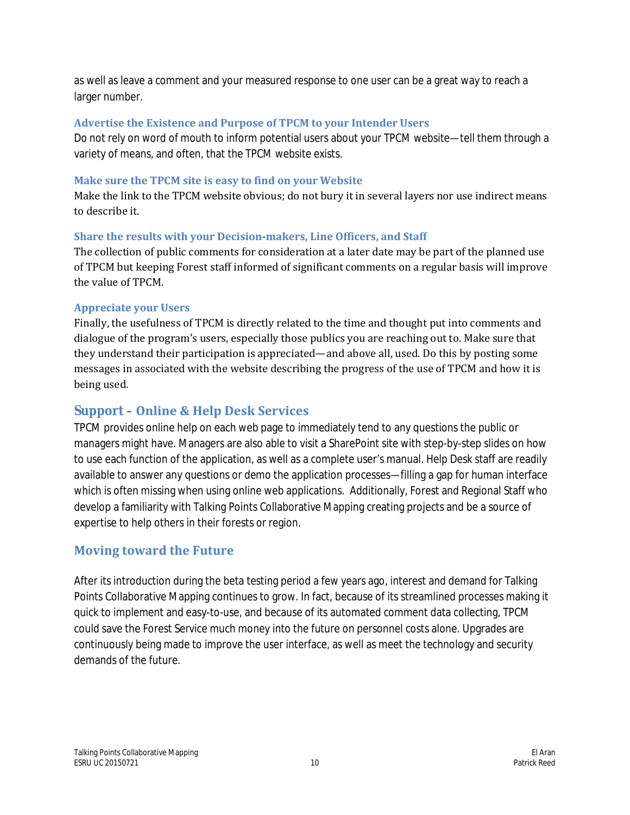as well as leave a comment and your measured response to one user can be a great way to reach a larger number.

# **Advertise the Existence and Purpose of TPCM to your Intender Users**

Do not rely on word of mouth to inform potential users about your TPCM website—tell them through a variety of means, and often, that the TPCM website exists.

# **Make sure the TPCM site is easy to find on your Website**

Make the link to the TPCM website obvious; do not bury it in several layers nor use indirect means to describe it.

# **Share the results with your Decision-makers, Line Officers, and Staff**

The collection of public comments for consideration at a later date may be part of the planned use of TPCM but keeping Forest staff informed of significant comments on a regular basis will improve the value of TPCM.

# **Appreciate your Users**

Finally, the usefulness of TPCM is directly related to the time and thought put into comments and dialogue of the program's users, especially those publics you are reaching out to. Make sure that they understand their participation is appreciated—and above all, used. Do this by posting some messages in associated with the website describing the progress of the use of TPCM and how it is being used.

# **Support – Online & Help Desk Services**

TPCM provides online help on each web page to immediately tend to any questions the public or managers might have. Managers are also able to visit a SharePoint site with step-by-step slides on how to use each function of the application, as well as a complete user's manual. Help Desk staff are readily available to answer any questions or demo the application processes—filling a gap for human interface which is often missing when using online web applications. Additionally, Forest and Regional Staff who develop a familiarity with Talking Points Collaborative Mapping creating projects and be a source of expertise to help others in their forests or region.

# **Moving toward the Future**

After its introduction during the beta testing period a few years ago, interest and demand for Talking Points Collaborative Mapping continues to grow. In fact, because of its streamlined processes making it quick to implement and easy-to-use, and because of its automated comment data collecting, TPCM could save the Forest Service much money into the future on personnel costs alone. Upgrades are continuously being made to improve the user interface, as well as meet the technology and security demands of the future.